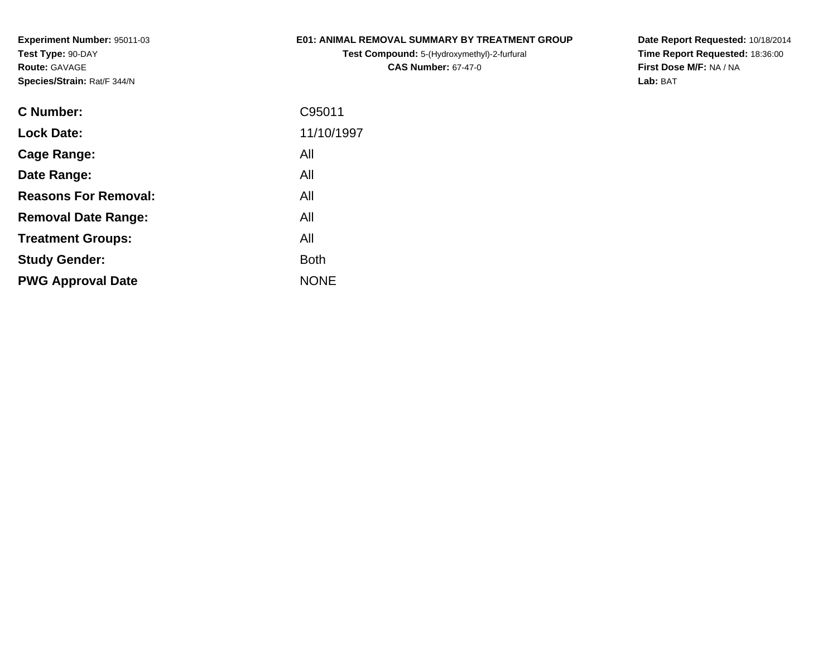## **E01: ANIMAL REMOVAL SUMMARY BY TREATMENT GROUP**

**Test Compound:** 5-(Hydroxymethyl)-2-furfural **CAS Number:** 67-47-0

| C Number:                   | C95011      |
|-----------------------------|-------------|
| <b>Lock Date:</b>           | 11/10/1997  |
| Cage Range:                 | All         |
| Date Range:                 | All         |
| <b>Reasons For Removal:</b> | All         |
| <b>Removal Date Range:</b>  | All         |
| <b>Treatment Groups:</b>    | All         |
| <b>Study Gender:</b>        | <b>Both</b> |
| <b>PWG Approval Date</b>    | <b>NONE</b> |
|                             |             |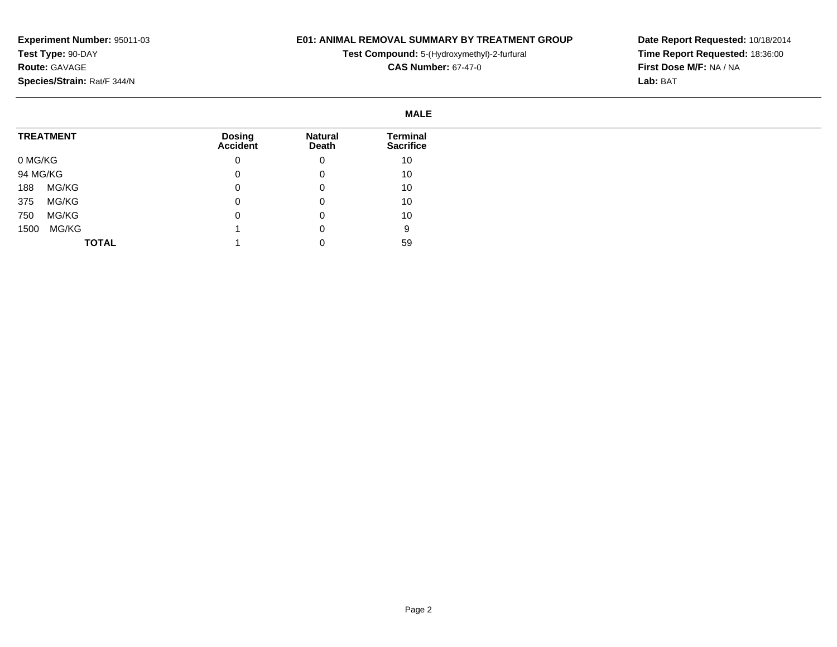## **E01: ANIMAL REMOVAL SUMMARY BY TREATMENT GROUP**

**Test Compound:** 5-(Hydroxymethyl)-2-furfural

**CAS Number:** 67-47-0

|          |                  |                                  |                         | <b>MALE</b>                         |
|----------|------------------|----------------------------------|-------------------------|-------------------------------------|
|          | <b>TREATMENT</b> | <b>Dosing</b><br><b>Accident</b> | <b>Natural</b><br>Death | <b>Terminal</b><br><b>Sacrifice</b> |
| 0 MG/KG  |                  | 0                                | 0                       | 10                                  |
| 94 MG/KG |                  | 0                                | 0                       | 10                                  |
| 188      | MG/KG            | 0                                | 0                       | 10                                  |
| 375      | MG/KG            | 0                                | 0                       | 10                                  |
| 750      | MG/KG            | 0                                | 0                       | 10                                  |
| 1500     | MG/KG            |                                  | 0                       | 9                                   |
|          | <b>TOTAL</b>     |                                  |                         | 59                                  |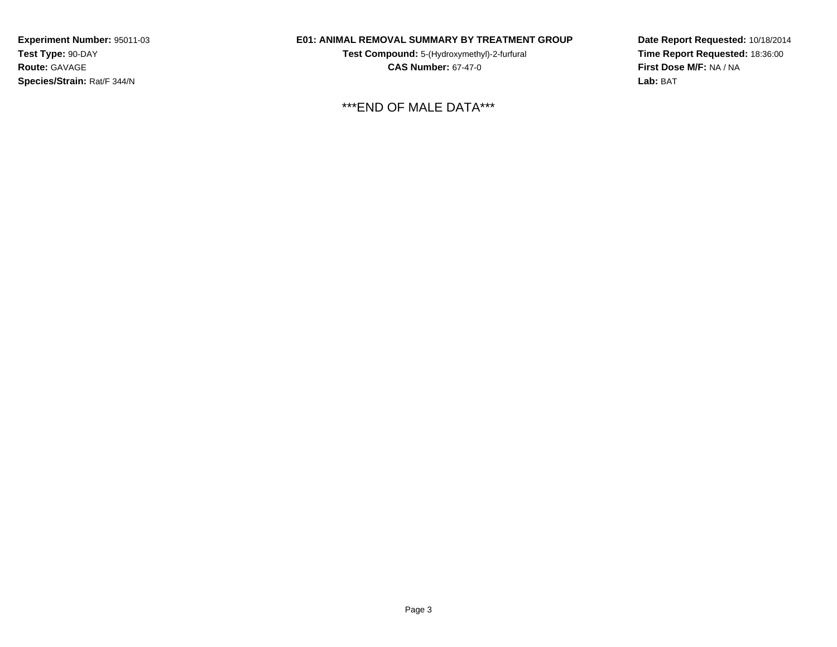## **E01: ANIMAL REMOVAL SUMMARY BY TREATMENT GROUP**

**Test Compound:** 5-(Hydroxymethyl)-2-furfural **CAS Number:** 67-47-0

\*\*\*END OF MALE DATA\*\*\*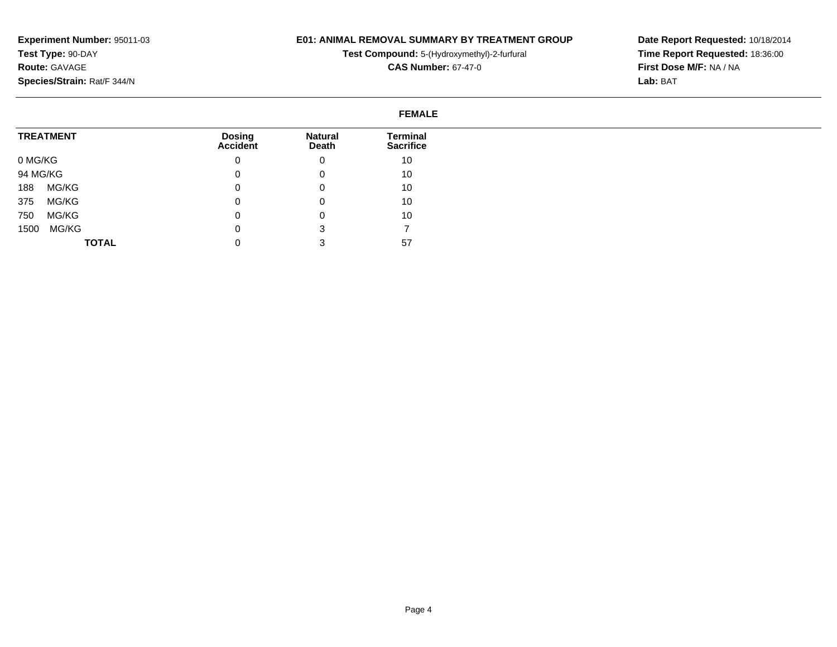#### **E01: ANIMAL REMOVAL SUMMARY BY TREATMENT GROUP**

**Test Compound:** 5-(Hydroxymethyl)-2-furfural

**CAS Number:** 67-47-0

**Date Report Requested:** 10/18/2014**Time Report Requested:** 18:36:00**First Dose M/F:** NA / NA**Lab:** BAT

#### **FEMALETREATMENT**0 MG/KG 94 MG/KG 188 MG/KG 375 MG/KG 750 MG/KG 1500 MG/KG**TOTALDosing Accident**0 $\overline{0}$  $\overline{0}$  0 $\overline{0}$  $\overline{0}$  0**Natural Death**0 0 0 0 0 3 3**Terminal Sacrifice**10 10 10 10 10 757